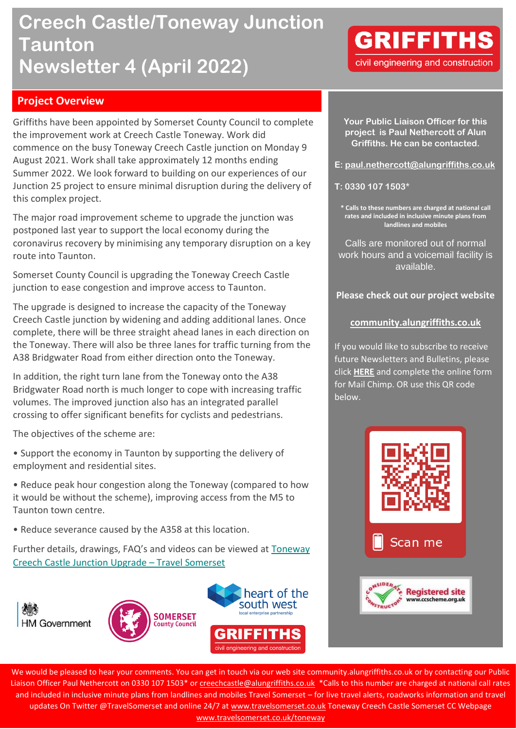# **Creech Castle/Toneway Junction Taunton Newsletter 4 (April 2022)**

## **GRIFFITHS** civil engineering and construction

## **Project Overview**

Griffiths have been appointed by Somerset County Council to complete the improvement work at Creech Castle Toneway. Work did commence on the busy Toneway Creech Castle junction on Monday 9 August 2021. Work shall take approximately 12 months ending Summer 2022. We look forward to building on our experiences of our Junction 25 project to ensure minimal disruption during the delivery of this complex project.

The major road improvement scheme to upgrade the junction was postponed last year to support the local economy during the coronavirus recovery by minimising any temporary disruption on a key route into Taunton.

Somerset County Council is upgrading the Toneway Creech Castle junction to ease congestion and improve access to Taunton.

The upgrade is designed to increase the capacity of the Toneway Creech Castle junction by widening and adding additional lanes. Once complete, there will be three straight ahead lanes in each direction on the Toneway. There will also be three lanes for traffic turning from the A38 Bridgwater Road from either direction onto the Toneway.

In addition, the right turn lane from the Toneway onto the A38 Bridgwater Road north is much longer to cope with increasing traffic volumes. The improved junction also has an integrated parallel crossing to offer significant benefits for cyclists and pedestrians.

The objectives of the scheme are:

- Support the economy in Taunton by supporting the delivery of employment and residential sites.
- Reduce peak hour congestion along the Toneway (compared to how it would be without the scheme), improving access from the M5 to Taunton town centre.
- Reduce severance caused by the A358 at this location.

Further details, drawings, FAQ's and videos can be viewed at [Toneway](https://www.travelsomerset.co.uk/Toneway/)  [Creech Castle Junction Upgrade](https://www.travelsomerset.co.uk/Toneway/) – Travel Somerset







**Your Public Liaison Officer for this project is Paul Nethercott of Alun Griffiths. He can be contacted.**

**E: [paul.nethercott@alungriffiths.co.uk](mailto:paul.nethercott@alungriffiths.co.uk)**

**T: 0330 107 1503\***

**\* Calls to these numbers are charged at national call rates and included in inclusive minute plans from landlines and mobiles**

Calls are monitored out of normal work hours and a voicemail facility is available.

**Please check out our project website**

#### **[community.alungriffiths.co.uk](https://community.alungriffiths.co.uk/projects-in-your-area/north-devon-link-road/)**

If you would like to subscribe to receive future Newsletters and Bulletins, please click **[HERE](https://mailchi.mp/alungriffiths/ndlrprojectbulletins)** and complete the online form for Mail Chimp. OR use this QR code below.



We would be pleased to hear your comments. You can get in touch via our web site community.alungriffiths.co.uk or by contacting our Public Liaison Officer Paul Nethercott on 0330 107 1503\* o[r creechcastle@alungriffiths.co.uk](mailto:creechcastle@alungriffiths.co.uk) \*Calls to this number are charged at national call rates and included in inclusive minute plans from landlines and mobiles Travel Somerset – for live travel alerts, roadworks information and travel updates On Twitter @TravelSomerset and online 24/7 a[t www.travelsomerset.co.uk](http://www.travelsomerset.co.uk/) Toneway Creech Castle Somerset CC Webpage [www.travelsomerset.co.uk/toneway](http://www.travelsomerset.co.uk/toneway)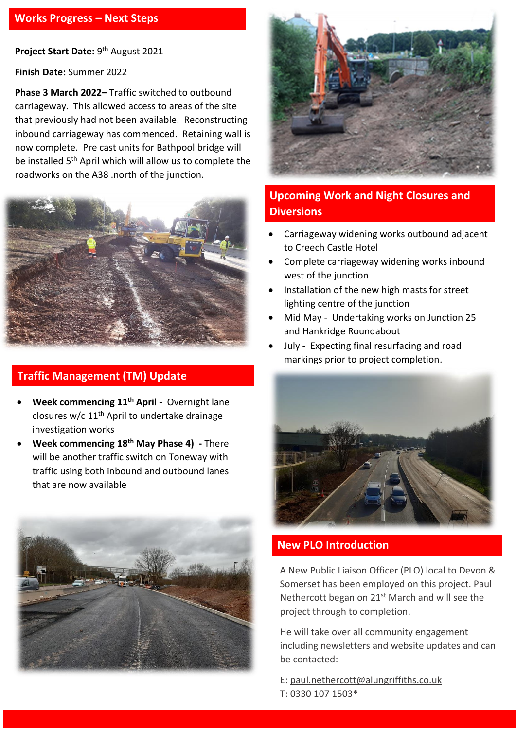Project Start Date: 9<sup>th</sup> August 2021

**Finish Date:** Summer 2022

**Phase 3 March 2022–** Traffic switched to outbound carriageway. This allowed access to areas of the site that previously had not been available. Reconstructing inbound carriageway has commenced. Retaining wall is now complete. Pre cast units for Bathpool bridge will be installed 5th April which will allow us to complete the roadworks on the A38 .north of the junction.



## **Traffic Management (TM) Update**

- **Week commencing 11th April -** Overnight lane closures w/c 11th April to undertake drainage investigation works
- **Week commencing 18th May Phase 4) -** There will be another traffic switch on Toneway with traffic using both inbound and outbound lanes that are now available





## **Upcoming Work and Night Closures and Diversions**

- Carriageway widening works outbound adjacent to Creech Castle Hotel
- Complete carriageway widening works inbound west of the junction
- Installation of the new high masts for street lighting centre of the junction
- Mid May Undertaking works on Junction 25 and Hankridge Roundabout
- July Expecting final resurfacing and road markings prior to project completion.



## **New PLO Introduction**

A New Public Liaison Officer (PLO) local to Devon & Somerset has been employed on this project. Paul Nethercott began on  $21<sup>st</sup>$  March and will see the project through to completion.

He will take over all community engagement including newsletters and website updates and can be contacted:

E: [paul.nethercott@alungriffiths.co.uk](mailto:paul.nethercott@alungriffiths.co.uk) T: 0330 107 1503\*